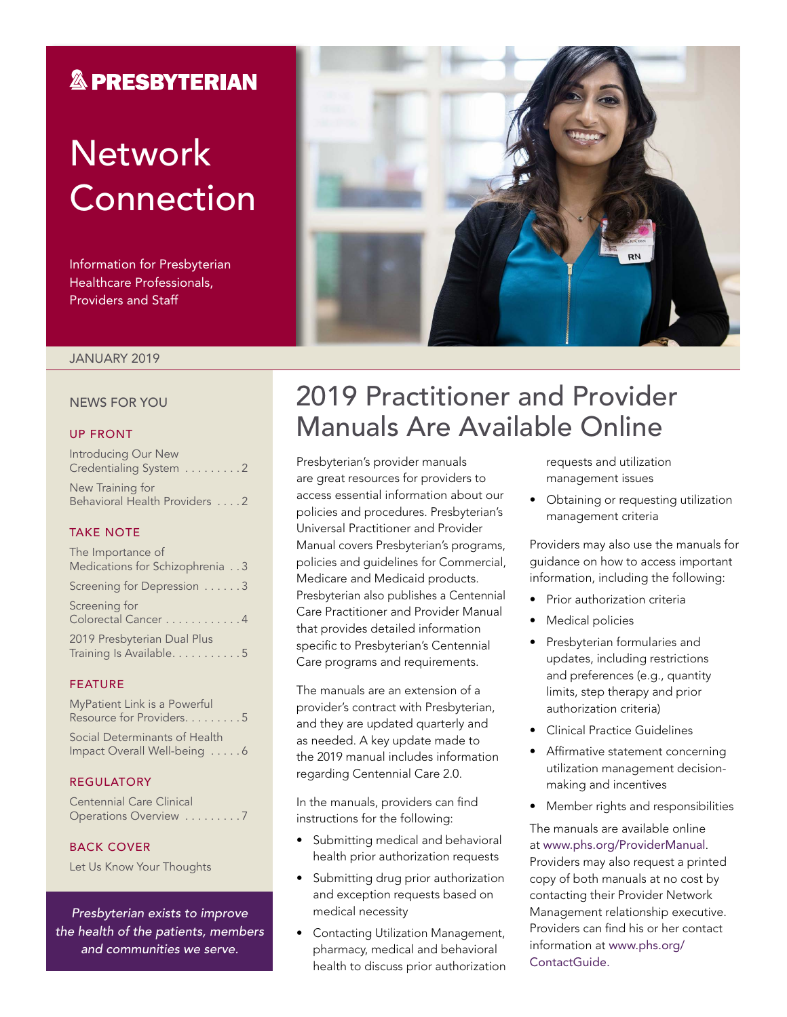### **& PRESBYTERIAN**

# **Network** Connection

Information for Presbyterian Healthcare Professionals, Providers and Staff

#### JANUARY 2019

#### NEWS FOR YOU

#### UP FRONT

| Introducing Our New<br>Credentialing System 2     |
|---------------------------------------------------|
| New Training for<br>Behavioral Health Providers 2 |

#### TAKE NOTE

| The Importance of                                       |
|---------------------------------------------------------|
| Medications for Schizophrenia 3                         |
| Screening for Depression 3                              |
| Screening for<br>Colorectal Cancer 4                    |
| 2019 Presbyterian Dual Plus<br>Training Is Available. 5 |

#### FEATURE

| MyPatient Link is a Powerful  |
|-------------------------------|
| Resource for Providers5       |
| Social Determinants of Health |

Impact Overall Well-being . . . . . 6

#### REGULATORY

Centennial Care Clinical Operations Overview . . . . . . . . . 7

#### BACK COVER

Let Us Know Your Thoughts

*Presbyterian exists to improve the health of the patients, members and communities we serve.*



### 2019 Practitioner and Provider Manuals Are Available Online

Presbyterian's provider manuals are great resources for providers to access essential information about our policies and procedures. Presbyterian's Universal Practitioner and Provider Manual covers Presbyterian's programs, policies and guidelines for Commercial, Medicare and Medicaid products. Presbyterian also publishes a Centennial Care Practitioner and Provider Manual that provides detailed information specific to Presbyterian's Centennial Care programs and requirements.

The manuals are an extension of a provider's contract with Presbyterian, and they are updated quarterly and as needed. A key update made to the 2019 manual includes information regarding Centennial Care 2.0.

In the manuals, providers can find instructions for the following:

- Submitting medical and behavioral health prior authorization requests
- Submitting drug prior authorization and exception requests based on medical necessity
- Contacting Utilization Management, pharmacy, medical and behavioral health to discuss prior authorization

requests and utilization management issues

• Obtaining or requesting utilization management criteria

Providers may also use the manuals for guidance on how to access important information, including the following:

- Prior authorization criteria
- Medical policies
- Presbyterian formularies and updates, including restrictions and preferences (e.g., quantity limits, step therapy and prior authorization criteria)
- Clinical Practice Guidelines
- Affirmative statement concerning utilization management decisionmaking and incentives
- Member rights and responsibilities

The manuals are available online at [www.phs.org/ProviderManual](http://www.phs.org/ProviderManual). Providers may also request a printed copy of both manuals at no cost by contacting their Provider Network Management relationship executive. Providers can find his or her contact information at [www.phs.org/](http://www.phs.org/ContactGuide) [ContactGuide](http://www.phs.org/ContactGuide).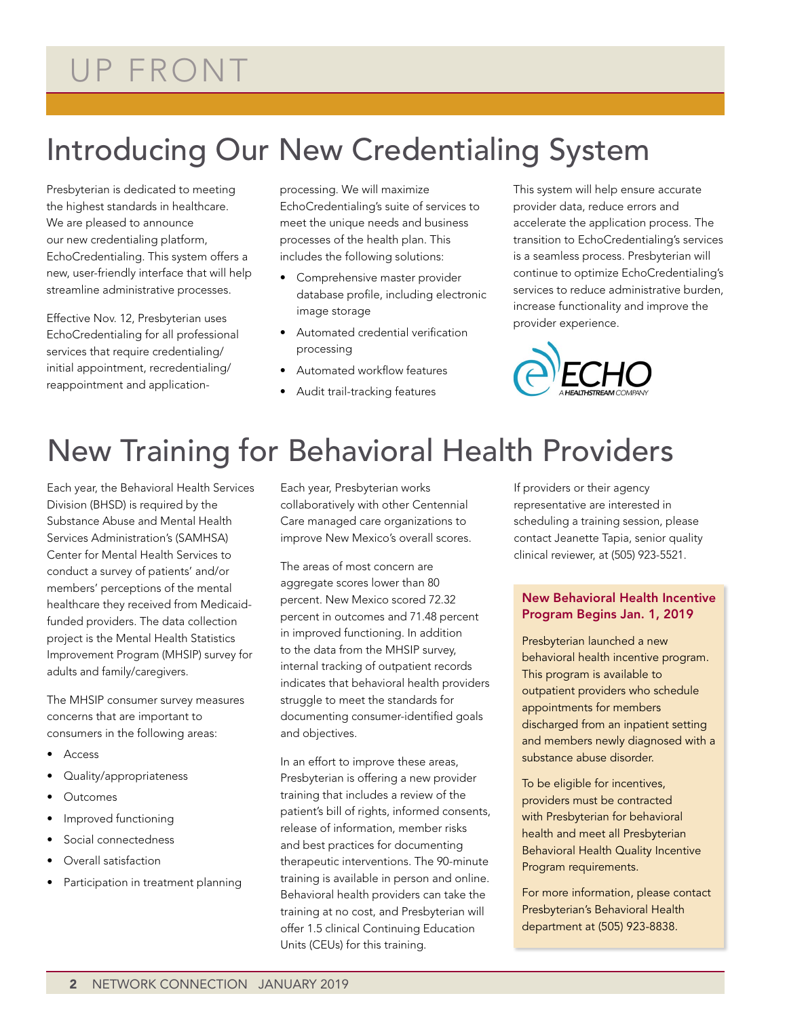# UP FRONT

### Introducing Our New Credentialing System

Presbyterian is dedicated to meeting the highest standards in healthcare. We are pleased to announce our new credentialing platform, EchoCredentialing. This system offers a new, user-friendly interface that will help streamline administrative processes.

Effective Nov. 12, Presbyterian uses EchoCredentialing for all professional services that require credentialing/ initial appointment, recredentialing/ reappointment and application-

processing. We will maximize EchoCredentialing's suite of services to meet the unique needs and business processes of the health plan. This includes the following solutions:

- Comprehensive master provider database profile, including electronic image storage
- Automated credential verification processing
- Automated workflow features
- Audit trail-tracking features

This system will help ensure accurate provider data, reduce errors and accelerate the application process. The transition to EchoCredentialing's services is a seamless process. Presbyterian will continue to optimize EchoCredentialing's services to reduce administrative burden, increase functionality and improve the provider experience.



### New Training for Behavioral Health Providers

Each year, the Behavioral Health Services Division (BHSD) is required by the Substance Abuse and Mental Health Services Administration's (SAMHSA) Center for Mental Health Services to conduct a survey of patients' and/or members' perceptions of the mental healthcare they received from Medicaidfunded providers. The data collection project is the Mental Health Statistics Improvement Program (MHSIP) survey for adults and family/caregivers.

The MHSIP consumer survey measures concerns that are important to consumers in the following areas:

- **Access**
- Quality/appropriateness
- **Outcomes**
- Improved functioning
- Social connectedness
- Overall satisfaction
- Participation in treatment planning

Each year, Presbyterian works collaboratively with other Centennial Care managed care organizations to improve New Mexico's overall scores.

The areas of most concern are aggregate scores lower than 80 percent. New Mexico scored 72.32 percent in outcomes and 71.48 percent in improved functioning. In addition to the data from the MHSIP survey, internal tracking of outpatient records indicates that behavioral health providers struggle to meet the standards for documenting consumer-identified goals and objectives.

In an effort to improve these areas, Presbyterian is offering a new provider training that includes a review of the patient's bill of rights, informed consents, release of information, member risks and best practices for documenting therapeutic interventions. The 90-minute training is available in person and online. Behavioral health providers can take the training at no cost, and Presbyterian will offer 1.5 clinical Continuing Education Units (CEUs) for this training.

If providers or their agency representative are interested in scheduling a training session, please contact Jeanette Tapia, senior quality clinical reviewer, at (505) 923-5521.

### New Behavioral Health Incentive Program Begins Jan. 1, 2019

Presbyterian launched a new behavioral health incentive program. This program is available to outpatient providers who schedule appointments for members discharged from an inpatient setting and members newly diagnosed with a substance abuse disorder.

To be eligible for incentives, providers must be contracted with Presbyterian for behavioral health and meet all Presbyterian Behavioral Health Quality Incentive Program requirements.

For more information, please contact Presbyterian's Behavioral Health department at (505) 923-8838.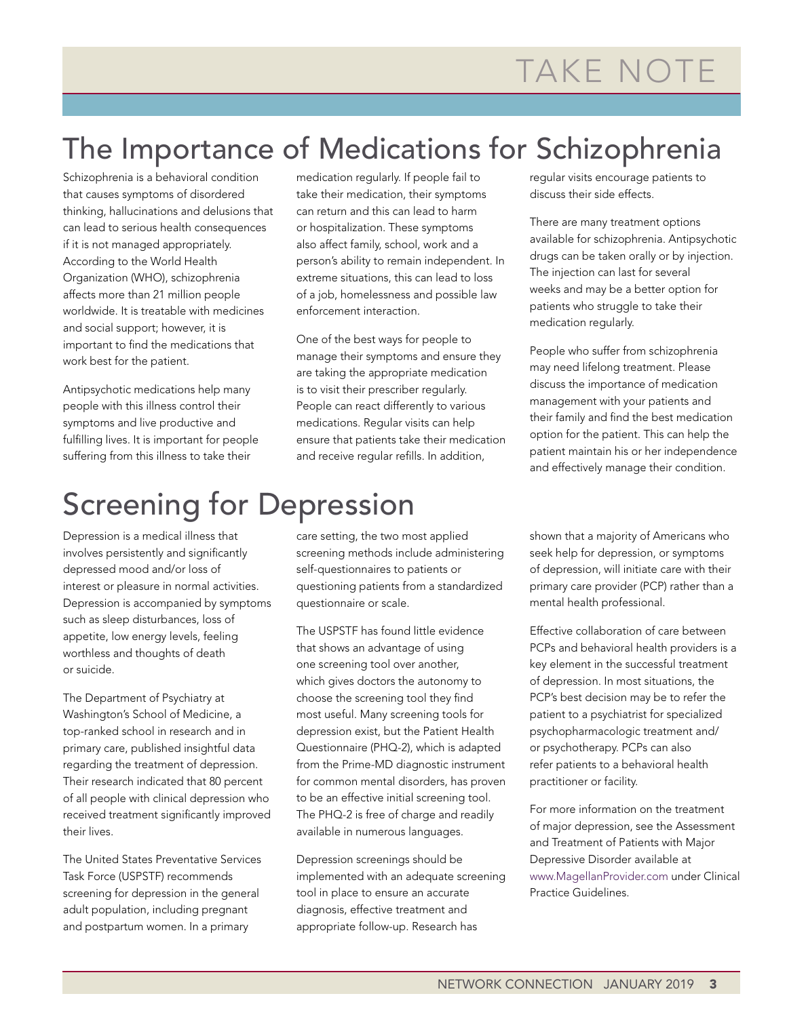### The Importance of Medications for Schizophrenia

Schizophrenia is a behavioral condition that causes symptoms of disordered thinking, hallucinations and delusions that can lead to serious health consequences if it is not managed appropriately. According to the World Health Organization (WHO), schizophrenia affects more than 21 million people worldwide. It is treatable with medicines and social support; however, it is important to find the medications that work best for the patient.

Antipsychotic medications help many people with this illness control their symptoms and live productive and fulfilling lives. It is important for people suffering from this illness to take their

medication regularly. If people fail to take their medication, their symptoms can return and this can lead to harm or hospitalization. These symptoms also affect family, school, work and a person's ability to remain independent. In extreme situations, this can lead to loss of a job, homelessness and possible law enforcement interaction.

One of the best ways for people to manage their symptoms and ensure they are taking the appropriate medication is to visit their prescriber regularly. People can react differently to various medications. Regular visits can help ensure that patients take their medication and receive regular refills. In addition,

# Screening for Depression

Depression is a medical illness that involves persistently and significantly depressed mood and/or loss of interest or pleasure in normal activities. Depression is accompanied by symptoms such as sleep disturbances, loss of appetite, low energy levels, feeling worthless and thoughts of death or suicide.

The Department of Psychiatry at Washington's School of Medicine, a top-ranked school in research and in primary care, published insightful data regarding the treatment of depression. Their research indicated that 80 percent of all people with clinical depression who received treatment significantly improved their lives.

The United States Preventative Services Task Force (USPSTF) recommends screening for depression in the general adult population, including pregnant and postpartum women. In a primary

care setting, the two most applied screening methods include administering self-questionnaires to patients or questioning patients from a standardized questionnaire or scale.

The USPSTF has found little evidence that shows an advantage of using one screening tool over another, which gives doctors the autonomy to choose the screening tool they find most useful. Many screening tools for depression exist, but the Patient Health Questionnaire (PHQ-2), which is adapted from the Prime-MD diagnostic instrument for common mental disorders, has proven to be an effective initial screening tool. The PHQ-2 is free of charge and readily available in numerous languages.

Depression screenings should be implemented with an adequate screening tool in place to ensure an accurate diagnosis, effective treatment and appropriate follow-up. Research has

regular visits encourage patients to discuss their side effects.

There are many treatment options available for schizophrenia. Antipsychotic drugs can be taken orally or by injection. The injection can last for several weeks and may be a better option for patients who struggle to take their medication regularly.

People who suffer from schizophrenia may need lifelong treatment. Please discuss the importance of medication management with your patients and their family and find the best medication option for the patient. This can help the patient maintain his or her independence and effectively manage their condition.

shown that a majority of Americans who seek help for depression, or symptoms of depression, will initiate care with their primary care provider (PCP) rather than a mental health professional.

Effective collaboration of care between PCPs and behavioral health providers is a key element in the successful treatment of depression. In most situations, the PCP's best decision may be to refer the patient to a psychiatrist for specialized psychopharmacologic treatment and/ or psychotherapy. PCPs can also refer patients to a behavioral health practitioner or facility.

For more information on the treatment of major depression, see the Assessment and Treatment of Patients with Major Depressive Disorder available at [www.MagellanProvider.com](http://www.MagellanProvider.com) under Clinical Practice Guidelines.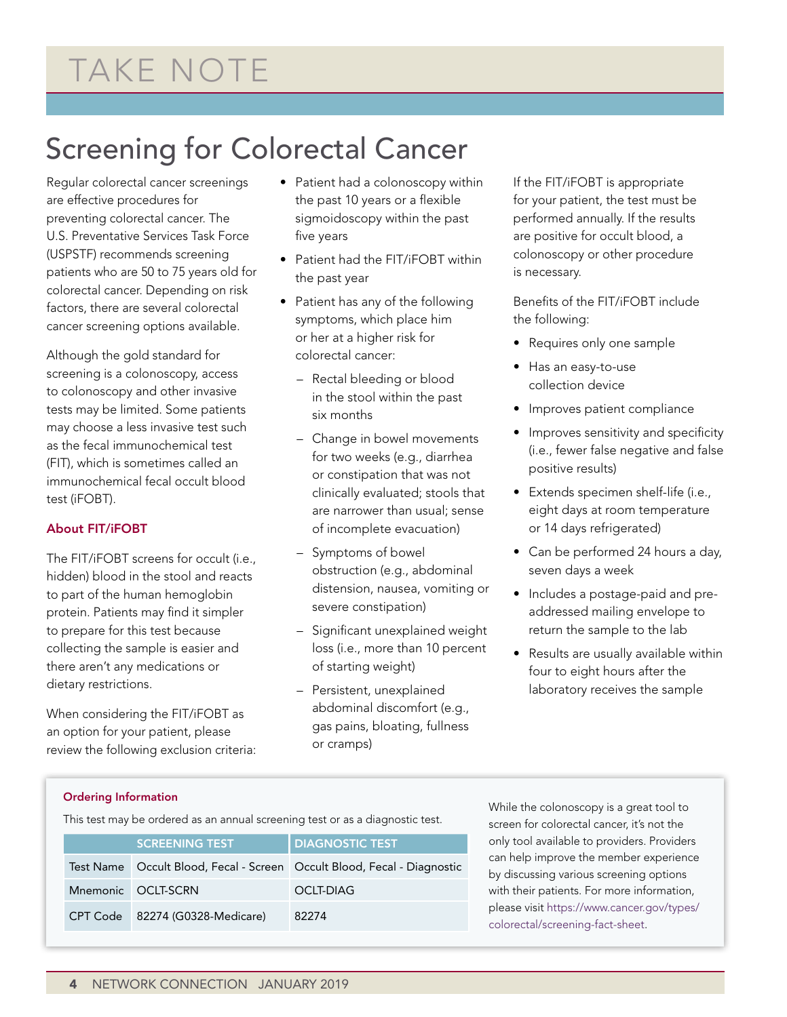### Screening for Colorectal Cancer

Regular colorectal cancer screenings are effective procedures for preventing colorectal cancer. The U.S. Preventative Services Task Force (USPSTF) recommends screening patients who are 50 to 75 years old for colorectal cancer. Depending on risk factors, there are several colorectal cancer screening options available.

Although the gold standard for screening is a colonoscopy, access to colonoscopy and other invasive tests may be limited. Some patients may choose a less invasive test such as the fecal immunochemical test (FIT), which is sometimes called an immunochemical fecal occult blood test (iFOBT).

### About FIT/iFOBT

The FIT/iFOBT screens for occult (i.e., hidden) blood in the stool and reacts to part of the human hemoglobin protein. Patients may find it simpler to prepare for this test because collecting the sample is easier and there aren't any medications or dietary restrictions.

When considering the FIT/iFOBT as an option for your patient, please review the following exclusion criteria:

- Patient had a colonoscopy within the past 10 years or a flexible sigmoidoscopy within the past five years
- Patient had the FIT/iFOBT within the past year
- Patient has any of the following symptoms, which place him or her at a higher risk for colorectal cancer:
	- Rectal bleeding or blood in the stool within the past six months
	- Change in bowel movements for two weeks (e.g., diarrhea or constipation that was not clinically evaluated; stools that are narrower than usual; sense of incomplete evacuation)
	- Symptoms of bowel obstruction (e.g., abdominal distension, nausea, vomiting or severe constipation)
	- Significant unexplained weight loss (i.e., more than 10 percent of starting weight)
	- Persistent, unexplained abdominal discomfort (e.g., gas pains, bloating, fullness or cramps)

If the FIT/iFOBT is appropriate for your patient, the test must be performed annually. If the results are positive for occult blood, a colonoscopy or other procedure is necessary.

Benefits of the FIT/iFOBT include the following:

- Requires only one sample
- Has an easy-to-use collection device
- Improves patient compliance
- Improves sensitivity and specificity (i.e., fewer false negative and false positive results)
- Extends specimen shelf-life (i.e., eight days at room temperature or 14 days refrigerated)
- Can be performed 24 hours a day, seven days a week
- Includes a postage-paid and preaddressed mailing envelope to return the sample to the lab
- Results are usually available within four to eight hours after the laboratory receives the sample

### Ordering Information

This test may be ordered as an annual screening test or as a diagnostic test.

| <b>SCREENING TEST</b>           | <b>DIAGNOSTIC TEST</b>                                                  |
|---------------------------------|-------------------------------------------------------------------------|
|                                 | Test Name Occult Blood, Fecal - Screen Occult Blood, Fecal - Diagnostic |
| Mnemonic OCLT-SCRN              | OCLT-DIAG                                                               |
| CPT Code 82274 (G0328-Medicare) | 82274                                                                   |

While the colonoscopy is a great tool to screen for colorectal cancer, it's not the only tool available to providers. Providers can help improve the member experience by discussing various screening options with their patients. For more information, please visit [https://www.cancer.gov/types/](https://www.cancer.gov/types/colorectal/screening-fact-sheet) [colorectal/screening-fact-sheet.](https://www.cancer.gov/types/colorectal/screening-fact-sheet)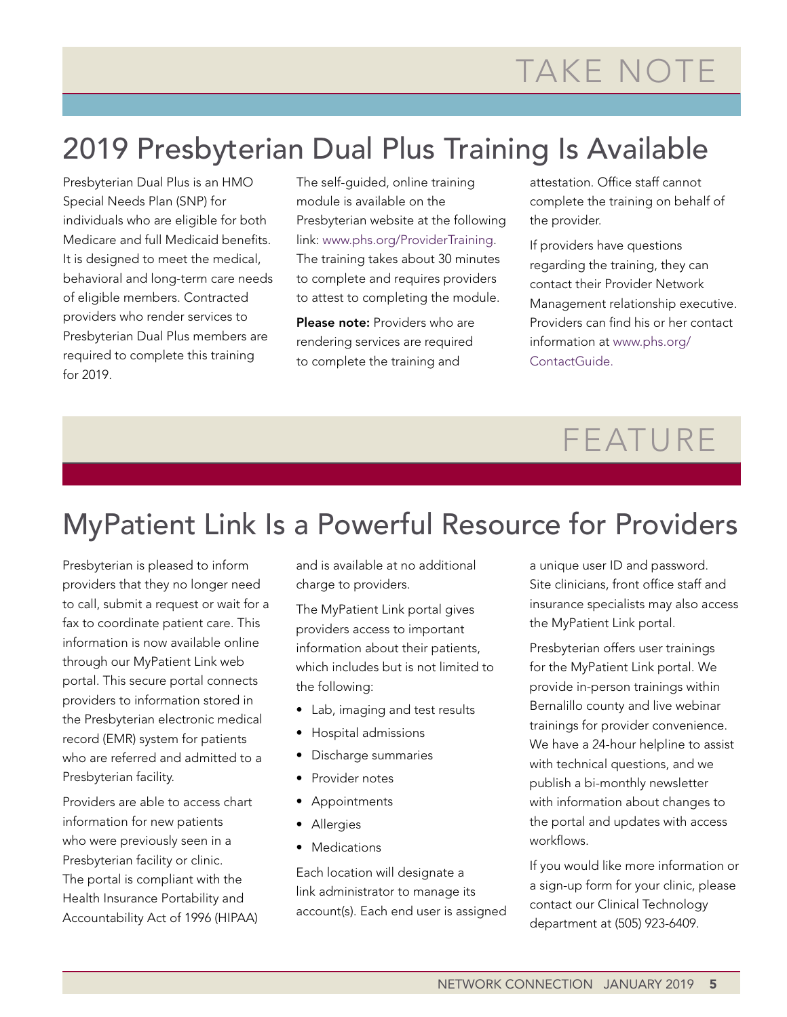### 2019 Presbyterian Dual Plus Training Is Available

Presbyterian Dual Plus is an HMO Special Needs Plan (SNP) for individuals who are eligible for both Medicare and full Medicaid benefits. It is designed to meet the medical, behavioral and long-term care needs of eligible members. Contracted providers who render services to Presbyterian Dual Plus members are required to complete this training for 2019.

The self-guided, online training module is available on the Presbyterian website at the following link: [www.phs.org/ProviderTraining.](http://www.phs.org/ProviderTraining) The training takes about 30 minutes to complete and requires providers to attest to completing the module.

Please note: Providers who are rendering services are required to complete the training and

attestation. Office staff cannot complete the training on behalf of the provider.

If providers have questions regarding the training, they can contact their Provider Network Management relationship executive. Providers can find his or her contact information at [www.phs.org/](http://www.phs.org/ContactGuide) [ContactGuide.](http://www.phs.org/ContactGuide)

# FEATURE

### MyPatient Link Is a Powerful Resource for Providers

Presbyterian is pleased to inform providers that they no longer need to call, submit a request or wait for a fax to coordinate patient care. This information is now available online through our MyPatient Link web portal. This secure portal connects providers to information stored in the Presbyterian electronic medical record (EMR) system for patients who are referred and admitted to a Presbyterian facility.

Providers are able to access chart information for new patients who were previously seen in a Presbyterian facility or clinic. The portal is compliant with the Health Insurance Portability and Accountability Act of 1996 (HIPAA) and is available at no additional charge to providers.

The MyPatient Link portal gives providers access to important information about their patients, which includes but is not limited to the following:

- Lab, imaging and test results
- Hospital admissions
- Discharge summaries
- Provider notes
- Appointments
- Allergies
- Medications

Each location will designate a link administrator to manage its account(s). Each end user is assigned a unique user ID and password. Site clinicians, front office staff and insurance specialists may also access the MyPatient Link portal.

Presbyterian offers user trainings for the MyPatient Link portal. We provide in-person trainings within Bernalillo county and live webinar trainings for provider convenience. We have a 24-hour helpline to assist with technical questions, and we publish a bi-monthly newsletter with information about changes to the portal and updates with access workflows.

If you would like more information or a sign-up form for your clinic, please contact our Clinical Technology department at (505) 923-6409.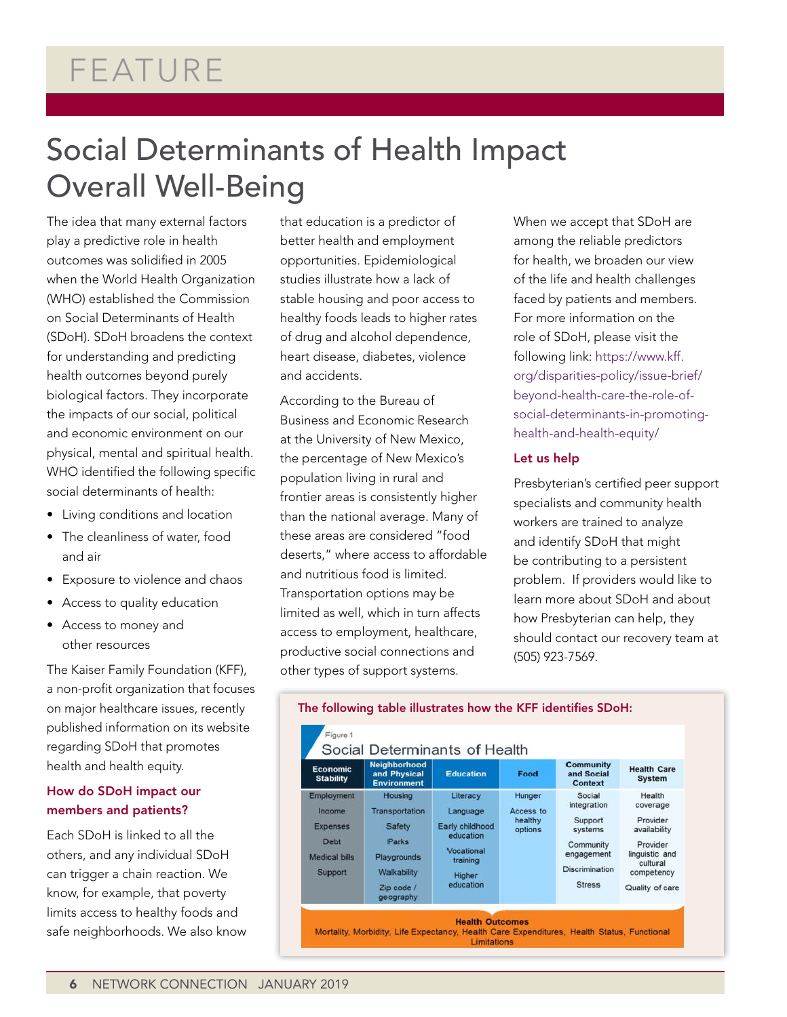### FEATURE

### Social Determinants of Health Impact Overall Well-Being

The idea that many external factors play a predictive role in health outcomes was solidified in 2005 when the World Health Organization (WHO) established the Commission on Social Determinants of Health (SDoH). SDoH broadens the context for understanding and predicting health outcomes beyond purely biological factors. They incorporate the impacts of our social, political and economic environment on our physical, mental and spiritual health. WHO identified the following specific social determinants of health:

- Living conditions and location
- The cleanliness of water, food and air
- Exposure to violence and chaos
- Access to quality education
- Access to money and other resources

The Kaiser Family Foundation (KFF), a non-profit organization that focuses on major healthcare issues, recently published information on its website regarding SDoH that promotes health and health equity.

### How do SDoH impact our members and patients?

Each SDoH is linked to all the others, and any individual SDoH can trigger a chain reaction. We know, for example, that poverty limits access to healthy foods and safe neighborhoods. We also know

that education is a predictor of better health and employment opportunities. Epidemiological studies illustrate how a lack of stable housing and poor access to healthy foods leads to higher rates of drug and alcohol dependence, heart disease, diabetes, violence and accidents.

According to the Bureau of Business and Economic Research at the University of New Mexico, the percentage of New Mexico's population living in rural and frontier areas is consistently higher than the national average. Many of these areas are considered "food deserts," where access to affordable and nutritious food is limited. Transportation options may be limited as well, which in turn affects access to employment, healthcare, productive social connections and other types of support systems.

When we accept that SDoH are among the reliable predictors for health, we broaden our view of the life and health challenges faced by patients and members. For more information on the role of SDoH, please visit the following link: [https://www.kff.](https://www.kff.org/disparities-policy/issue-brief/beyond-health-care-the-role-of-social-determinants-in-promoting-health-and-health-equity/%20) [org/disparities-policy/issue-brief/](https://www.kff.org/disparities-policy/issue-brief/beyond-health-care-the-role-of-social-determinants-in-promoting-health-and-health-equity/%20) [beyond-health-care-the-role-of](https://www.kff.org/disparities-policy/issue-brief/beyond-health-care-the-role-of-social-determinants-in-promoting-health-and-health-equity/%20)[social-determinants-in-promoting](https://www.kff.org/disparities-policy/issue-brief/beyond-health-care-the-role-of-social-determinants-in-promoting-health-and-health-equity/%20)[health-and-health-equity/](https://www.kff.org/disparities-policy/issue-brief/beyond-health-care-the-role-of-social-determinants-in-promoting-health-and-health-equity/%20)

#### Let us help

Presbyterian's certified peer support specialists and community health workers are trained to analyze and identify SDoH that might be contributing to a persistent problem. If providers would like to learn more about SDoH and about how Presbyterian can help, they should contact our recovery team at (505) 923-7569.



#### The following table illustrates how the KFF identifies SDoH: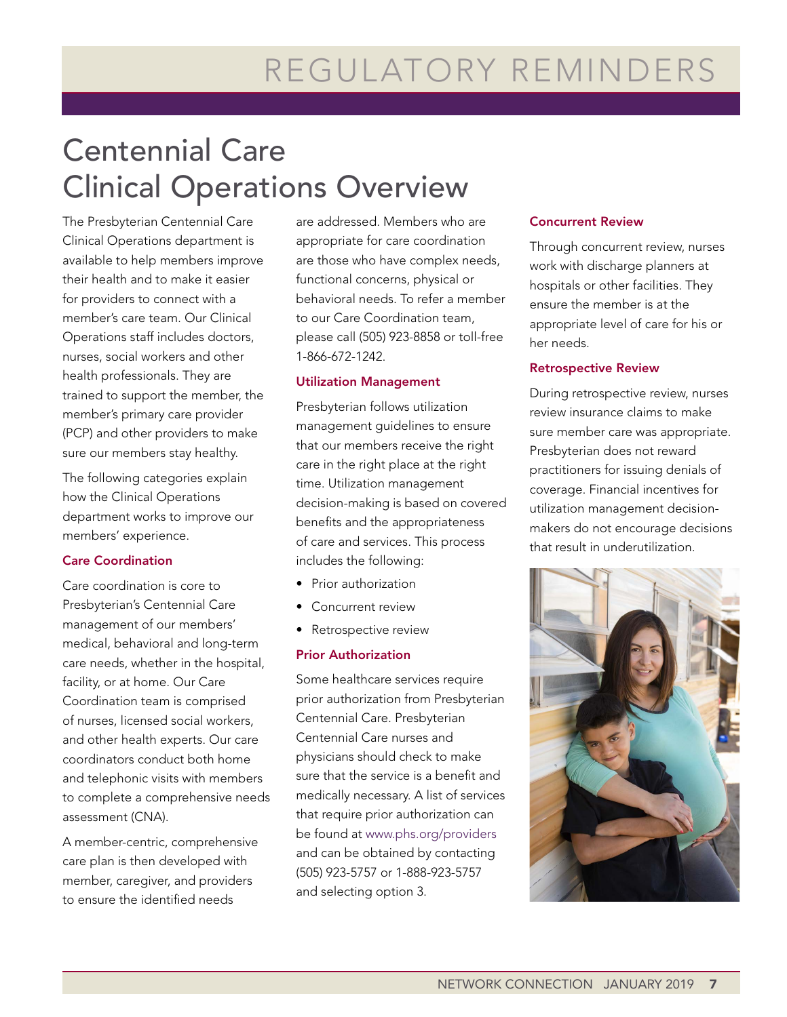# Centennial Care Clinical Operations Overview

The Presbyterian Centennial Care Clinical Operations department is available to help members improve their health and to make it easier for providers to connect with a member's care team. Our Clinical Operations staff includes doctors, nurses, social workers and other health professionals. They are trained to support the member, the member's primary care provider (PCP) and other providers to make sure our members stay healthy.

The following categories explain how the Clinical Operations department works to improve our members' experience.

### Care Coordination

Care coordination is core to Presbyterian's Centennial Care management of our members' medical, behavioral and long-term care needs, whether in the hospital, facility, or at home. Our Care Coordination team is comprised of nurses, licensed social workers, and other health experts. Our care coordinators conduct both home and telephonic visits with members to complete a comprehensive needs assessment (CNA).

A member-centric, comprehensive care plan is then developed with member, caregiver, and providers to ensure the identified needs

are addressed. Members who are appropriate for care coordination are those who have complex needs, functional concerns, physical or behavioral needs. To refer a member to our Care Coordination team, please call (505) 923-8858 or toll-free 1-866-672-1242.

#### Utilization Management

Presbyterian follows utilization management guidelines to ensure that our members receive the right care in the right place at the right time. Utilization management decision-making is based on covered benefits and the appropriateness of care and services. This process includes the following:

- Prior authorization
- Concurrent review
- Retrospective review

### Prior Authorization

Some healthcare services require prior authorization from Presbyterian Centennial Care. Presbyterian Centennial Care nurses and physicians should check to make sure that the service is a benefit and medically necessary. A list of services that require prior authorization can be found at [www.phs.org/providers](http://www.phs.org/providers) and can be obtained by contacting (505) 923-5757 or 1-888-923-5757 and selecting option 3.

#### Concurrent Review

Through concurrent review, nurses work with discharge planners at hospitals or other facilities. They ensure the member is at the appropriate level of care for his or her needs.

#### Retrospective Review

During retrospective review, nurses review insurance claims to make sure member care was appropriate. Presbyterian does not reward practitioners for issuing denials of coverage. Financial incentives for utilization management decisionmakers do not encourage decisions that result in underutilization.